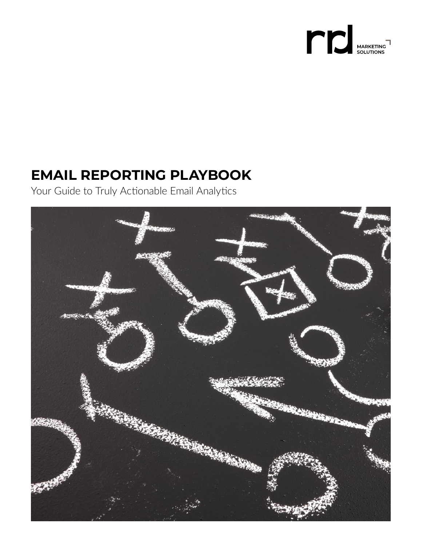

# **EMAIL REPORTING PLAYBOOK**

Your Guide to Truly Actionable Email Analytics

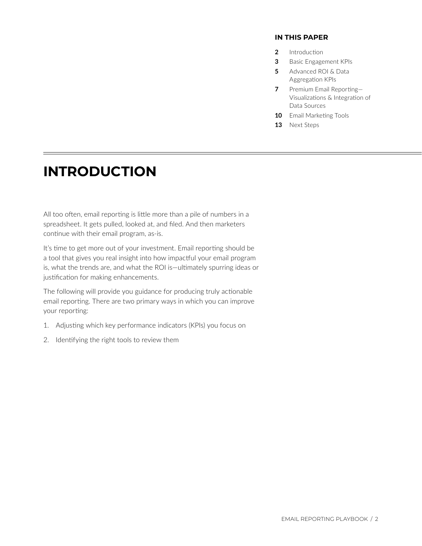#### **IN THIS PAPER**

- **2** Introduction
- **3** [Basic Engagement KPIs](#page-2-0)
- **5** [Advanced ROI & Data](#page-4-0)  Aggregation KPIs
- **7** Premium Email Reporting-[Visualizations & Integration of](#page-6-0) Data Sources
- **10** [Email Marketing Tools](#page-9-0)
- **13** [Next Steps](#page-12-0)

## **INTRODUCTION**

All too often, email reporting is little more than a pile of numbers in a spreadsheet. It gets pulled, looked at, and filed. And then marketers continue with their email program, as-is.

It's time to get more out of your investment. Email reporting should be a tool that gives you real insight into how impactful your email program is, what the trends are, and what the ROI is—ultimately spurring ideas or justification for making enhancements.

The following will provide you guidance for producing truly actionable email reporting. There are two primary ways in which you can improve your reporting:

- 1. Adjusting which key performance indicators (KPIs) you focus on
- 2. Identifying the right tools to review them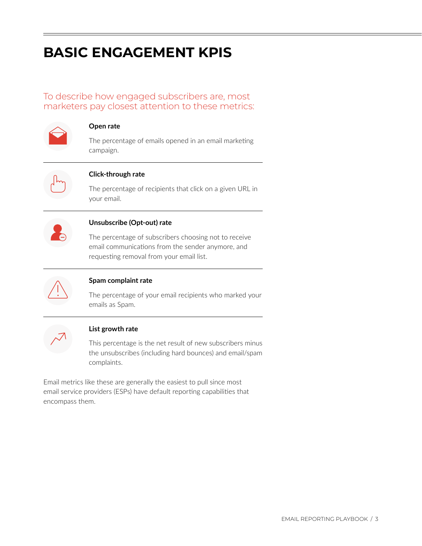# <span id="page-2-0"></span>**BASIC ENGAGEMENT KPIS**

To describe how engaged subscribers are, most marketers pay closest attention to these metrics:



#### **Open rate**

The percentage of emails opened in an email marketing campaign.



## **Click-through rate**

The percentage of recipients that click on a given URL in your email.



## **Unsubscribe (Opt-out) rate**

The percentage of subscribers choosing not to receive email communications from the sender anymore, and requesting removal from your email list.



## **Spam complaint rate**

The percentage of your email recipients who marked your emails as Spam.



## **List growth rate**

This percentage is the net result of new subscribers minus the unsubscribes (including hard bounces) and email/spam complaints.

Email metrics like these are generally the easiest to pull since most email service providers (ESPs) have default reporting capabilities that encompass them.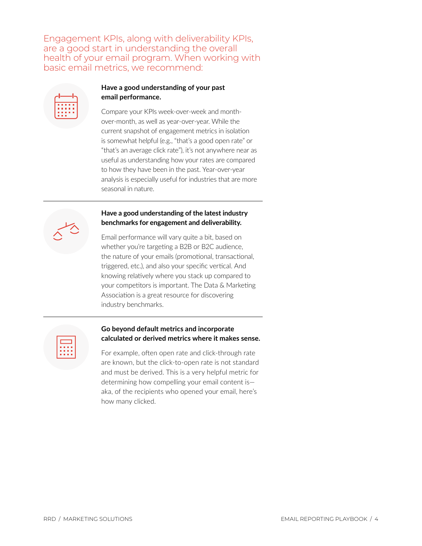Engagement KPIs, along with deliverability KPIs, are a good start in understanding the overall health of your email program. When working with basic email metrics, we recommend:

| п |     | <b>B 8 8</b> | г |
|---|-----|--------------|---|
|   |     | .            | г |
| п |     | <b>B 8 8</b> | п |
| г | . . |              |   |

## **Have a good understanding of your past email performance.**

Compare your KPIs week-over-week and monthover-month, as well as year-over-year. While the current snapshot of engagement metrics in isolation is somewhat helpful (e.g., "that's a good open rate" or "that's an average click rate"), it's not anywhere near as useful as understanding how your rates are compared to how they have been in the past. Year-over-year analysis is especially useful for industries that are more seasonal in nature.

## **Have a good understanding of the latest industry benchmarks for engagement and deliverability.**

Email performance will vary quite a bit, based on whether you're targeting a B2B or B2C audience, the nature of your emails (promotional, transactional, triggered, etc.), and also your specific vertical. And knowing relatively where you stack up compared to your competitors is important. The Data & Marketing Association is a great resource for discovering industry benchmarks.

|  | . |  |
|--|---|--|
|  | . |  |
|  | . |  |

### **Go beyond default metrics and incorporate calculated or derived metrics where it makes sense.**

For example, often open rate and click-through rate are known, but the click-to-open rate is not standard and must be derived. This is a very helpful metric for determining how compelling your email content is aka, of the recipients who opened your email, here's how many clicked.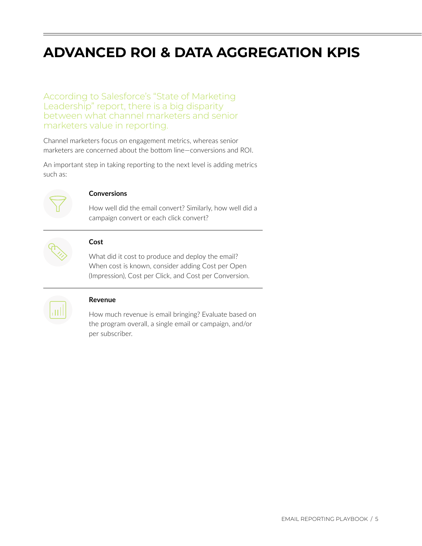# <span id="page-4-0"></span>**ADVANCED ROI & DATA AGGREGATION KPIS**

According to Salesforce's "State of Marketing Leadership" report, there is a big disparity between what channel marketers and senior marketers value in reporting.

Channel marketers focus on engagement metrics, whereas senior marketers are concerned about the bottom line—conversions and ROI.

An important step in taking reporting to the next level is adding metrics such as:



#### **Conversions**

How well did the email convert? Similarly, how well did a campaign convert or each click convert?



#### **Cost**

What did it cost to produce and deploy the email? When cost is known, consider adding Cost per Open (Impression), Cost per Click, and Cost per Conversion.



#### **Revenue**

How much revenue is email bringing? Evaluate based on the program overall, a single email or campaign, and/or per subscriber.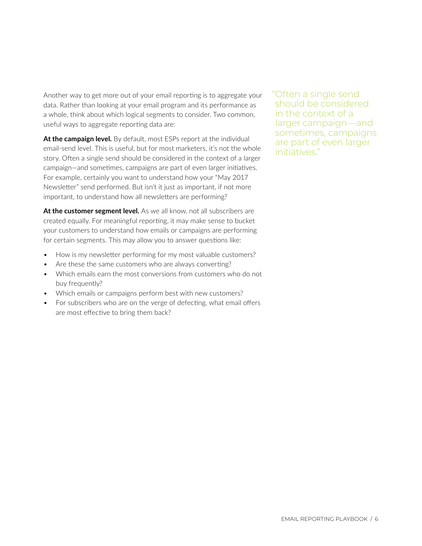Another way to get more out of your email reporting is to aggregate your data. Rather than looking at your email program and its performance as a whole, think about which logical segments to consider. Two common, useful ways to aggregate reporting data are:

At the campaign level. By default, most ESPs report at the individual email-send level. This is useful, but for most marketers, it's not the whole story. Often a single send should be considered in the context of a larger campaign—and sometimes, campaigns are part of even larger initiatives. For example, certainly you want to understand how your "May 2017 Newsletter" send performed. But isn't it just as important, if not more important, to understand how all newsletters are performing?

At the customer segment level. As we all know, not all subscribers are created equally. For meaningful reporting, it may make sense to bucket your customers to understand how emails or campaigns are performing for certain segments. This may allow you to answer questions like:

- How is my newsletter performing for my most valuable customers?
- Are these the same customers who are always converting?
- Which emails earn the most conversions from customers who do not buy frequently?
- Which emails or campaigns perform best with new customers?
- For subscribers who are on the verge of defecting, what email offers are most effective to bring them back?

"Often a single send should be considered in the context of a larger campaign—and sometimes, campaigns are part of even larger initiatives."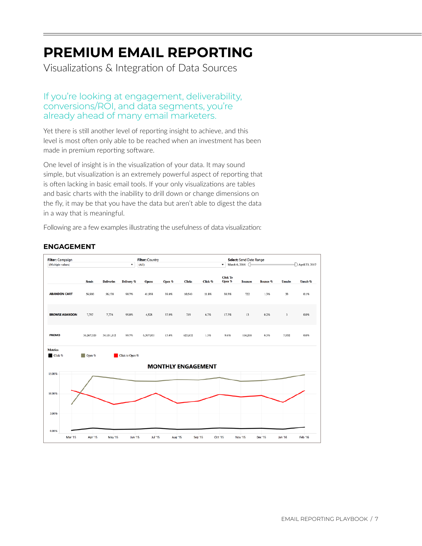# <span id="page-6-0"></span>**PREMIUM EMAIL REPORTING**

Visualizations & Integration of Data Sources

## If you're looking at engagement, deliverability, conversions/ROI, and data segments, you're already ahead of many email marketers.

Yet there is still another level of reporting insight to achieve, and this level is most often only able to be reached when an investment has been made in premium reporting software.

 simple, but visualization is an extremely powerful aspect of reporting that One level of insight is in the visualization of your data. It may sound is often lacking in basic email tools. If your only visualizations are tables and basic charts with the inability to drill down or change dimensions on the fly, it may be that you have the data but aren't able to digest the data in a way that is meaningful.

Following are a few examples illustrating the usefulness of data visualization:

## **ENGAGEMENT**

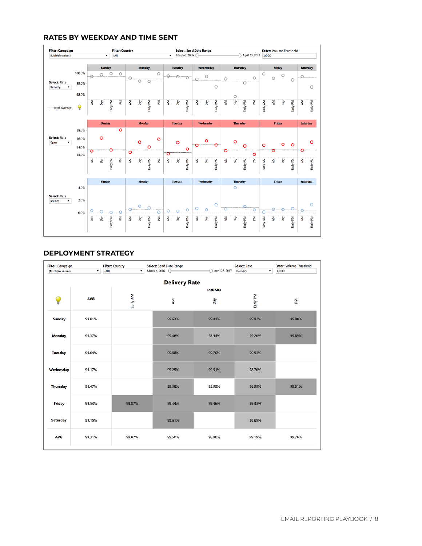#### **RATES BY WEEKDAY AND TIME SENT**



#### **DEPLOYMENT STRATEGY**

| Filter: Campaign<br>(Multiple values) | $\bullet$<br>(AII) | Filter: Country<br>$\bullet$ | Select: Send Date Range<br>March 6, 2016 ( | April 23, 2017 | <b>Select: Rate</b><br>۰<br>Delivery | <b>Enter: Volume Threshold</b><br>1,000 |  |  |  |
|---------------------------------------|--------------------|------------------------------|--------------------------------------------|----------------|--------------------------------------|-----------------------------------------|--|--|--|
| <b>Delivery Rate</b><br><b>PROMO</b>  |                    |                              |                                            |                |                                      |                                         |  |  |  |
| Q                                     | <b>AVG</b>         | Early AM                     | ξ                                          | Quo            | Early PM                             | 줄                                       |  |  |  |
| <b>Sunday</b>                         | 99.81%             |                              | 99.63%                                     | 99.81%         | 99.92%                               | 99.88%                                  |  |  |  |
| Monday                                | 99.37%             |                              | 99.46%                                     | 98.94%         | 99.20%                               | 99.89%                                  |  |  |  |
| <b>Tuesday</b>                        | 99.64%             |                              | 99.68%                                     | 99.70%         | 99.53%                               |                                         |  |  |  |
| Wednesday                             | 99.17%             |                              | 99.29%                                     | 99.51%         | 98.70%                               |                                         |  |  |  |
| Thursday                              | 98.47%             |                              | 99.38%                                     | 95.99%         | 98.99%                               | 99.51%                                  |  |  |  |
| Friday                                | 99.53%             | 99.87%                       | 99.44%                                     | 99.46%         | 99.33%                               |                                         |  |  |  |
| <b>Saturday</b>                       | 99.15%             |                              | 99.61%                                     |                | 98.69%                               |                                         |  |  |  |
| <b>AVG</b>                            | 99.31%             | 99.87%                       | 99.50%                                     | 98.90%         | 99.19%                               | 99.76%                                  |  |  |  |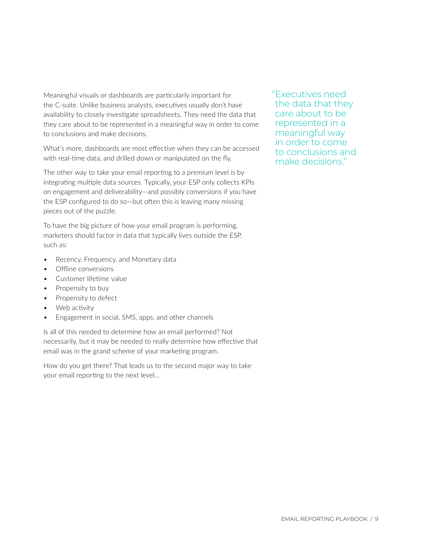Meaningful visuals or dashboards are particularly important for the C-suite. Unlike business analysts, executives usually don't have availability to closely investigate spreadsheets. They need the data that they care about to be represented in a meaningful way in order to come to conclusions and make decisions.

What's more, dashboards are most effective when they can be accessed with real-time data, and drilled down or manipulated on the fly.

The other way to take your email reporting to a premium level is by integrating multiple data sources. Typically, your ESP only collects KPIs on engagement and deliverability—and possibly conversions if you have the ESP configured to do so—but often this is leaving many missing pieces out of the puzzle.

To have the big picture of how your email program is performing, marketers should factor in data that typically lives outside the ESP, such as:

- Recency, Frequency, and Monetary data
- Offline conversions
- Customer lifetime value
- Propensity to buy
- Propensity to defect
- Web activity
- Engagement in social, SMS, apps, and other channels

Is all of this needed to determine how an email performed? Not necessarily, but it may be needed to really determine how effective that email was in the grand scheme of your marketing program.

How do you get there? That leads us to the second major way to take your email reporting to the next level…

"Executives need the data that they care about to be represented in a meaningful way in order to come to conclusions and make decisions."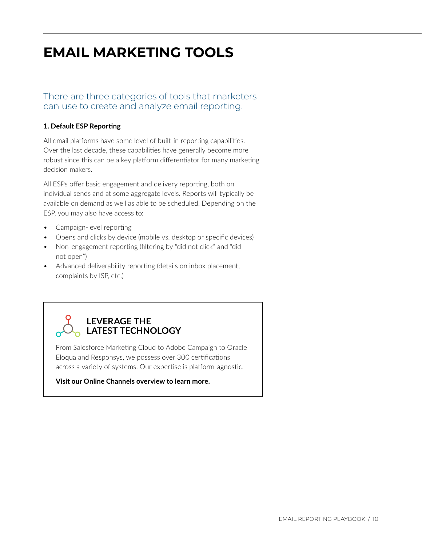# <span id="page-9-0"></span>**EMAIL MARKETING TOOLS**

## There are three categories of tools that marketers can use to create and analyze email reporting.

## **1. Default ESP Reporting**

All email platforms have some level of built-in reporting capabilities. Over the last decade, these capabilities have generally become more robust since this can be a key platform differentiator for many marketing decision makers.

All ESPs offer basic engagement and delivery reporting, both on individual sends and at some aggregate levels. Reports will typically be available on demand as well as able to be scheduled. Depending on the ESP, you may also have access to:

- Campaign-level reporting
- Opens and clicks by device (mobile vs. desktop or specific devices)
- Non-engagement reporting (filtering by "did not click" and "did not open")
- Advanced deliverability reporting (details on inbox placement, complaints by ISP, etc.)



From Salesforce Marketing Cloud to Adobe Campaign to Oracle Eloqua and Responsys, we possess over 300 certifications across a variety of systems. Our expertise is platform-agnostic.

**Visit our [Online Channels](http://www.rrdonnelley.com/marketing-solutions/services/online-channels/) overview to learn more.**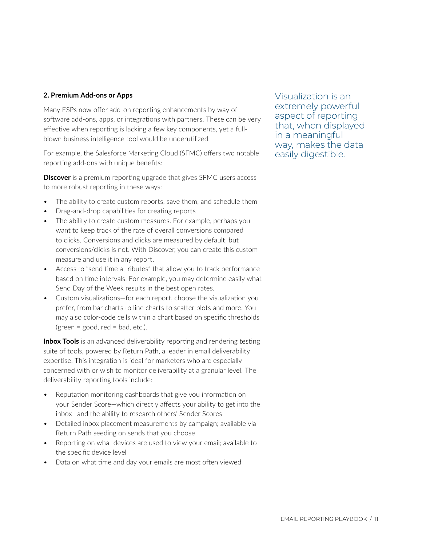### **2. Premium Add-ons or Apps**

Many ESPs now offer add-on reporting enhancements by way of software add-ons, apps, or integrations with partners. These can be very effective when reporting is lacking a few key components, yet a fullblown business intelligence tool would be underutilized.

For example, the Salesforce Marketing Cloud (SFMC) offers two notable reporting add-ons with unique benefits:

**Discover** is a premium reporting upgrade that gives SFMC users access to more robust reporting in these ways:

- The ability to create custom reports, save them, and schedule them
- Drag-and-drop capabilities for creating reports
- The ability to create custom measures. For example, perhaps you want to keep track of the rate of overall conversions compared to clicks. Conversions and clicks are measured by default, but conversions/clicks is not. With Discover, you can create this custom measure and use it in any report.
- Access to "send time attributes" that allow you to track performance based on time intervals. For example, you may determine easily what Send Day of the Week results in the best open rates.
- (green = good, red = bad, etc.). • Custom visualizations—for each report, choose the visualization you prefer, from bar charts to line charts to scatter plots and more. You may also color-code cells within a chart based on specific thresholds

**Inbox Tools** is an advanced deliverability reporting and rendering testing suite of tools, powered by Return Path, a leader in email deliverability expertise. This integration is ideal for marketers who are especially concerned with or wish to monitor deliverability at a granular level. The deliverability reporting tools include:

- Reputation monitoring dashboards that give you information on your Sender Score—which directly affects your ability to get into the inbox—and the ability to research others' Sender Scores
- Detailed inbox placement measurements by campaign; available via Return Path seeding on sends that you choose
- Reporting on what devices are used to view your email; available to the specific device level
- Data on what time and day your emails are most often viewed

Visualization is an extremely powerful aspect of reporting that, when displayed in a meaningful way, makes the data easily digestible.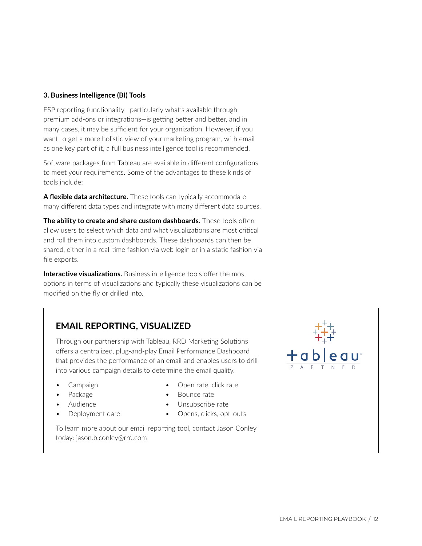#### **3. Business Intelligence (BI) Tools**

ESP reporting functionality—particularly what's available through premium add-ons or integrations—is getting better and better, and in many cases, it may be sufficient for your organization. However, if you want to get a more holistic view of your marketing program, with email as one key part of it, a full business intelligence tool is recommended.

Software packages from Tableau are available in different configurations to meet your requirements. Some of the advantages to these kinds of tools include:

**A flexible data architecture.** These tools can typically accommodate many different data types and integrate with many different data sources.

**The ability to create and share custom dashboards.** These tools often allow users to select which data and what visualizations are most critical and roll them into custom dashboards. These dashboards can then be shared, either in a real-time fashion via web login or in a static fashion via file exports.

**Interactive visualizations.** Business intelligence tools offer the most options in terms of visualizations and typically these visualizations can be modified on the fly or drilled into.

## **EMAIL REPORTING, VISUALIZED**

Through our partnership with Tableau, RRD Marketing Solutions offers a centralized, plug-and-play Email Performance Dashboard that provides the performance of an email and enables users to drill into various campaign details to determine the email quality.

- Campaign **•** Open rate, click rate
- 
- 
- Package **•** Bounce rate
	- Audience Unsubscribe rate
	- **Deployment date •** Opens, clicks, opt-outs

To learn more about our email reporting tool, contact Jason Conley today: [jason.b.conley@rrd.com](mailto:jason.b.conley@rrd.com)

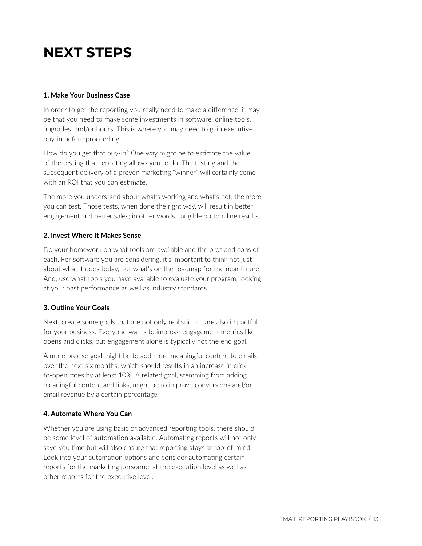## <span id="page-12-0"></span>**NEXT STEPS**

### **1. Make Your Business Case**

In order to get the reporting you really need to make a difference, it may be that you need to make some investments in software, online tools, upgrades, and/or hours. This is where you may need to gain executive buy-in before proceeding.

How do you get that buy-in? One way might be to estimate the value of the testing that reporting allows you to do. The testing and the subsequent delivery of a proven marketing "winner" will certainly come with an ROI that you can estimate.

The more you understand about what's working and what's not, the more you can test. Those tests, when done the right way, will result in better engagement and better sales; in other words, tangible bottom line results.

### **2. Invest Where It Makes Sense**

Do your homework on what tools are available and the pros and cons of each. For software you are considering, it's important to think not just about what it does today, but what's on the roadmap for the near future. And, use what tools you have available to evaluate your program, looking at your past performance as well as industry standards.

## **3. Outline Your Goals**

Next, create some goals that are not only realistic but are also impactful for your business. Everyone wants to improve engagement metrics like opens and clicks, but engagement alone is typically not the end goal.

A more precise goal might be to add more meaningful content to emails over the next six months, which should results in an increase in clickto-open rates by at least 10%. A related goal, stemming from adding meaningful content and links, might be to improve conversions and/or email revenue by a certain percentage.

#### **4. Automate Where You Can**

Whether you are using basic or advanced reporting tools, there should be some level of automation available. Automating reports will not only save you time but will also ensure that reporting stays at top-of-mind. Look into your automation options and consider automating certain reports for the marketing personnel at the execution level as well as other reports for the executive level.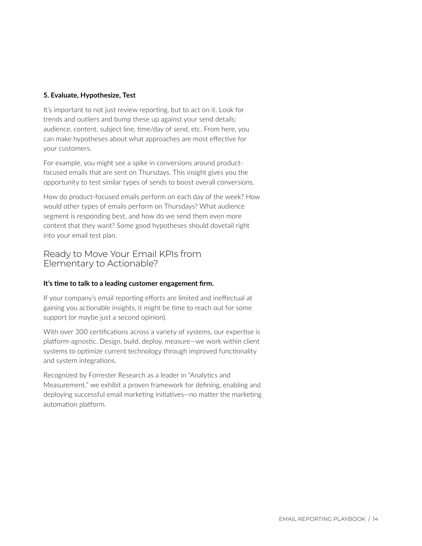### **5. Evaluate, Hypothesize, Test**

It's important to not just review reporting, but to act on it. Look for trends and outliers and bump these up against your send details: audience, content, subject line, time/day of send, etc. From here, you can make hypotheses about what approaches are most effective for your customers.

For example, you might see a spike in conversions around productfocused emails that are sent on Thursdays. This insight gives you the opportunity to test similar types of sends to boost overall conversions.

How do product-focused emails perform on each day of the week? How would other types of emails perform on Thursdays? What audience segment is responding best, and how do we send them even more content that they want? Some good hypotheses should dovetail right into your email test plan.

## Ready to Move Your Email KPIs from Elementary to Actionable?

#### **It's time to talk to a leading customer engagement firm.**

If your company's email reporting efforts are limited and ineffectual at gaining you actionable insights, it might be time to reach out for some support (or maybe just a second opinion).

With over 300 certifications across a variety of systems, our expertise is platform-agnostic. Design, build, deploy, measure—we work within client systems to optimize current technology through improved functionality and system integrations.

Recognized by Forrester Research as a leader in "Analytics and Measurement," we exhibit a proven framework for defining, enabling and deploying successful email marketing initiatives—no matter the marketing automation platform.